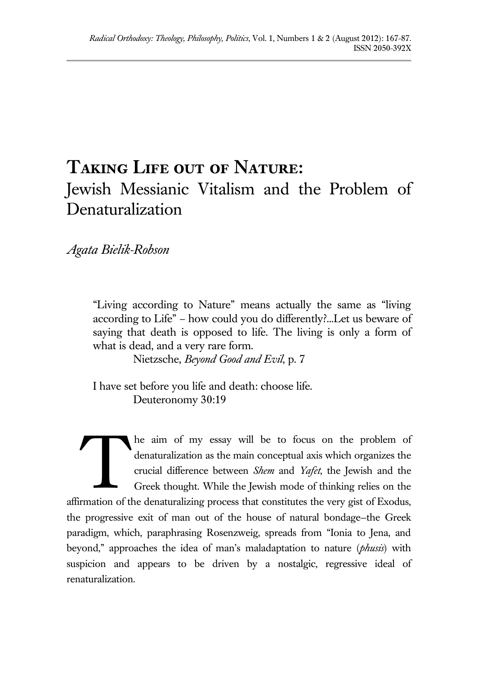# **Taking Life out of Nature:** Jewish Messianic Vitalism and the Problem of Denaturalization

*Agata Bielik-Robson*

"Living according to Nature" means actually the same as "living according to Life" – how could you do differently?...Let us beware of saying that death is opposed to life. The living is only a form of what is dead, and a very rare form.

Nietzsche, *Beyond Good and Evil*, p. 7

I have set before you life and death: choose life. Deuteronomy 30:19

he aim of my essay will be to focus on the problem of denaturalization as the main conceptual axis which organizes the crucial difference between *Shem* and *Yafet*, the Jewish and the Greek thought. While the Jewish mode of thinking relies on the affirmation of the denaturalizing process that constitutes the very gist of Exodus, the progressive exit of man out of the house of natural bondage—the Greek paradigm, which, paraphrasing Rosenzweig, spreads from "Ionia to Jena, and beyond," approaches the idea of man's maladaptation to nature (*phusis*) with suspicion and appears to be driven by a nostalgic, regressive ideal of renaturalization. T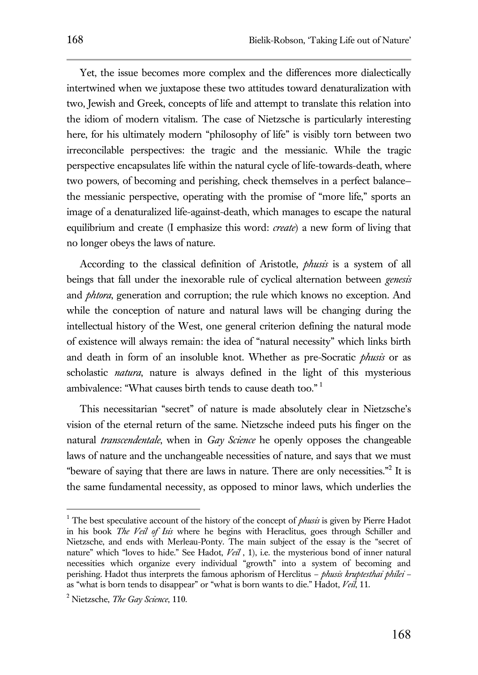Yet, the issue becomes more complex and the differences more dialectically intertwined when we juxtapose these two attitudes toward denaturalization with two, Jewish and Greek, concepts of life and attempt to translate this relation into the idiom of modern vitalism. The case of Nietzsche is particularly interesting here, for his ultimately modern "philosophy of life" is visibly torn between two irreconcilable perspectives: the tragic and the messianic. While the tragic perspective encapsulates life within the natural cycle of life-towards-death, where two powers, of becoming and perishing, check themselves in a perfect balance the messianic perspective, operating with the promise of "more life," sports an image of a denaturalized life-against-death, which manages to escape the natural equilibrium and create (I emphasize this word: *create*) a new form of living that no longer obeys the laws of nature.

According to the classical definition of Aristotle, *phusis* is a system of all beings that fall under the inexorable rule of cyclical alternation between *genesis* and *phtora*, generation and corruption; the rule which knows no exception. And while the conception of nature and natural laws will be changing during the intellectual history of the West, one general criterion defining the natural mode of existence will always remain: the idea of "natural necessity" which links birth and death in form of an insoluble knot. Whether as pre-Socratic *phusis* or as scholastic *natura*, nature is always defined in the light of this mysterious ambivalence: "What causes birth tends to cause death too." <sup>1</sup>

This necessitarian "secret" of nature is made absolutely clear in Nietzsche's vision of the eternal return of the same. Nietzsche indeed puts his finger on the natural *transcendentale*, when in *Gay Science* he openly opposes the changeable laws of nature and the unchangeable necessities of nature, and says that we must "beware of saying that there are laws in nature. There are only necessities."<sup>2</sup> It is the same fundamental necessity, as opposed to minor laws, which underlies the

<sup>&</sup>lt;sup>1</sup> The best speculative account of the history of the concept of *phusis* is given by Pierre Hadot in his book *The Veil of Isis* where he begins with Heraclitus, goes through Schiller and Nietzsche, and ends with Merleau-Ponty. The main subject of the essay is the "secret of nature" which "loves to hide." See Hadot, Veil, 1), i.e. the mysterious bond of inner natural necessities which organize every individual "growth" into a system of becoming and perishing. Hadot thus interprets the famous aphorism of Herclitus – *phusis kruptesthai philei* – as "what is born tends to disappear" or "what is born wants to die." Hadot, *Veil*, 11.

<sup>2</sup> Nietzsche, *The Gay Science*, 110.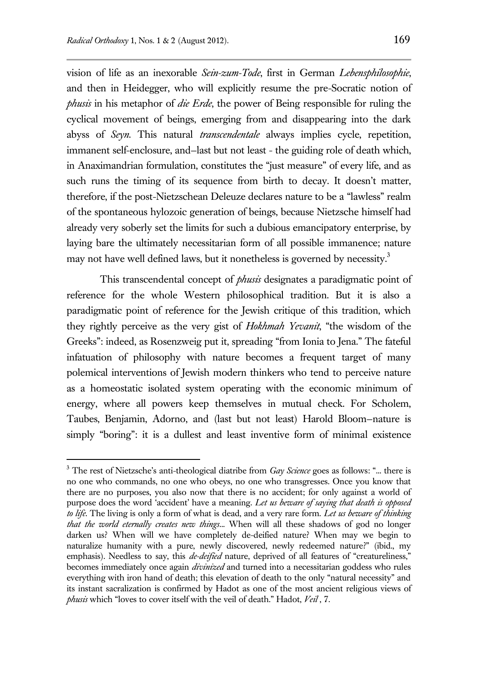$\overline{a}$ 

vision of life as an inexorable *Sein-zum-Tode*, first in German *Lebensphilosophie*, and then in Heidegger, who will explicitly resume the pre-Socratic notion of *phusis* in his metaphor of *die Erde*, the power of Being responsible for ruling the cyclical movement of beings, emerging from and disappearing into the dark abyss of *Seyn*. This natural *transcendentale* always implies cycle, repetition, immanent self-enclosure, and—last but not least - the guiding role of death which, in Anaximandrian formulation, constitutes the "just measure" of every life, and as such runs the timing of its sequence from birth to decay. It doesn't matter, therefore, if the post-Nietzschean Deleuze declares nature to be a "lawless" realm of the spontaneous hylozoic generation of beings, because Nietzsche himself had already very soberly set the limits for such a dubious emancipatory enterprise, by laying bare the ultimately necessitarian form of all possible immanence; nature may not have well defined laws, but it nonetheless is governed by necessity.<sup>3</sup>

This transcendental concept of *phusis* designates a paradigmatic point of reference for the whole Western philosophical tradition. But it is also a paradigmatic point of reference for the Jewish critique of this tradition, which they rightly perceive as the very gist of *Hokhmah Yevanit*, "the wisdom of the Greeks": indeed, as Rosenzweig put it, spreading "from Ionia to Jena." The fateful infatuation of philosophy with nature becomes a frequent target of many polemical interventions of Jewish modern thinkers who tend to perceive nature as a homeostatic isolated system operating with the economic minimum of energy, where all powers keep themselves in mutual check. For Scholem, Taubes, Benjamin, Adorno, and (last but not least) Harold Bloom—nature is simply "boring": it is a dullest and least inventive form of minimal existence

<sup>3</sup> The rest of Nietzsche's anti-theological diatribe from *Gay Science* goes as follows: "... there is no one who commands, no one who obeys, no one who transgresses. Once you know that there are no purposes, you also now that there is no accident; for only against a world of purpose does the word 'accident' have a meaning. *Let us beware of saying that death is opposed to life*. The living is only a form of what is dead, and a very rare form. *Let us beware of thinking that the world eternally creates new things*... When will all these shadows of god no longer darken us? When will we have completely de-deified nature? When may we begin to naturalize humanity with a pure, newly discovered, newly redeemed nature?" (ibid., my emphasis). Needless to say, this *de-deified* nature, deprived of all features of "creatureliness," becomes immediately once again *divinized* and turned into a necessitarian goddess who rules everything with iron hand of death; this elevation of death to the only "natural necessity" and its instant sacralization is confirmed by Hadot as one of the most ancient religious views of *phusis* which "loves to cover itself with the veil of death." Hadot, *Veil* , 7.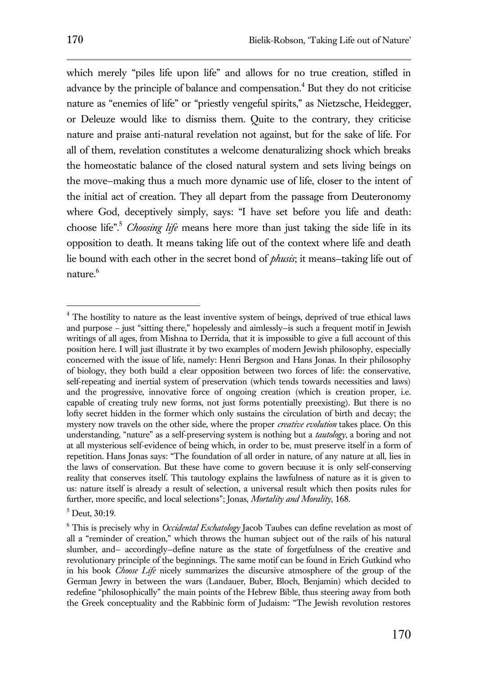which merely "piles life upon life" and allows for no true creation, stifled in advance by the principle of balance and compensation. $4$  But they do not criticise nature as "enemies of life" or "priestly vengeful spirits," as Nietzsche, Heidegger, or Deleuze would like to dismiss them. Quite to the contrary, they criticise nature and praise anti-natural revelation not against, but for the sake of life. For all of them, revelation constitutes a welcome denaturalizing shock which breaks the homeostatic balance of the closed natural system and sets living beings on the move—making thus a much more dynamic use of life, closer to the intent of the initial act of creation. They all depart from the passage from Deuteronomy where God, deceptively simply, says: "I have set before you life and death: choose life".<sup>5</sup> *Choosing life* means here more than just taking the side life in its opposition to death. It means taking life out of the context where life and death lie bound with each other in the secret bond of *phusis*; it means—taking life out of nature. $6$ 

 $4$  The hostility to nature as the least inventive system of beings, deprived of true ethical laws and purpose – just "sitting there," hopelessly and aimlessly—is such a frequent motif in Jewish writings of all ages, from Mishna to Derrida, that it is impossible to give a full account of this position here. I will just illustrate it by two examples of modern Jewish philosophy, especially concerned with the issue of life, namely: Henri Bergson and Hans Jonas. In their philosophy of biology, they both build a clear opposition between two forces of life: the conservative, self-repeating and inertial system of preservation (which tends towards necessities and laws) and the progressive, innovative force of ongoing creation (which is creation proper, i.e. capable of creating truly new forms, not just forms potentially preexisting). But there is no lofty secret hidden in the former which only sustains the circulation of birth and decay; the mystery now travels on the other side, where the proper *creative evolution* takes place. On this understanding, "nature" as a self-preserving system is nothing but a *tautology*, a boring and not at all mysterious self-evidence of being which, in order to be, must preserve itself in a form of repetition. Hans Jonas says: "The foundation of all order in nature, of any nature at all, lies in the laws of conservation. But these have come to govern because it is only self-conserving reality that conserves itself. This tautology explains the lawfulness of nature as it is given to us: nature itself is already a result of selection, a universal result which then posits rules for further, more specific, and local selections"; Jonas, *Mortality and Morality*, 168.

 $5$  Deut, 30:19.

<sup>6</sup> This is precisely why in *Occidental Eschatology* Jacob Taubes can define revelation as most of all a "reminder of creation," which throws the human subject out of the rails of his natural slumber, and— accordingly—define nature as the state of forgetfulness of the creative and revolutionary principle of the beginnings. The same motif can be found in Erich Gutkind who in his book *Choose Life* nicely summarizes the discursive atmosphere of the group of the German Jewry in between the wars (Landauer, Buber, Bloch, Benjamin) which decided to redefine "philosophically" the main points of the Hebrew Bible, thus steering away from both the Greek conceptuality and the Rabbinic form of Judaism: "The Jewish revolution restores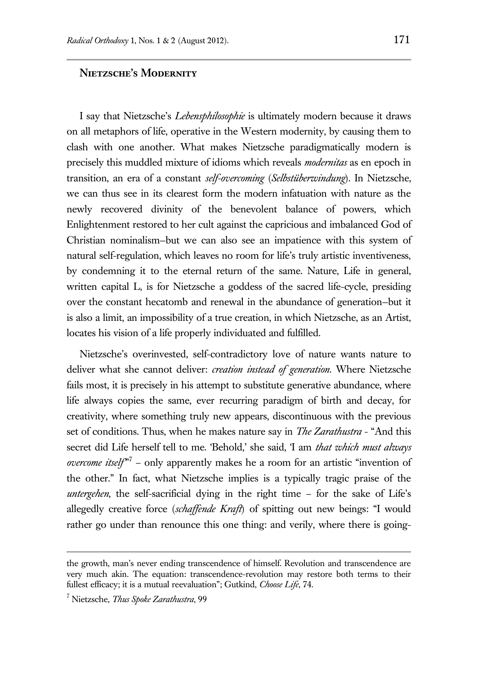#### **Nietzsche's Modernity**

I say that Nietzsche's *Lebensphilosophie* is ultimately modern because it draws on all metaphors of life, operative in the Western modernity, by causing them to clash with one another. What makes Nietzsche paradigmatically modern is precisely this muddled mixture of idioms which reveals *modernitas* as en epoch in transition, an era of a constant *self-overcoming* (*Selbstüberwindung*). In Nietzsche, we can thus see in its clearest form the modern infatuation with nature as the newly recovered divinity of the benevolent balance of powers, which Enlightenment restored to her cult against the capricious and imbalanced God of Christian nominalism—but we can also see an impatience with this system of natural self-regulation, which leaves no room for life's truly artistic inventiveness, by condemning it to the eternal return of the same. Nature, Life in general, written capital L, is for Nietzsche a goddess of the sacred life-cycle, presiding over the constant hecatomb and renewal in the abundance of generation—but it is also a limit, an impossibility of a true creation, in which Nietzsche, as an Artist, locates his vision of a life properly individuated and fulfilled.

Nietzsche's overinvested, self-contradictory love of nature wants nature to deliver what she cannot deliver: *creation instead of generation*. Where Nietzsche fails most, it is precisely in his attempt to substitute generative abundance, where life always copies the same, ever recurring paradigm of birth and decay, for creativity, where something truly new appears, discontinuous with the previous set of conditions. Thus, when he makes nature say in *The Zarathustra* - "And this secret did Life herself tell to me. 'Behold,' she said, 'I am *that which must always overcome itself*<sup>27</sup> – only apparently makes he a room for an artistic "invention of the other." In fact, what Nietzsche implies is a typically tragic praise of the *untergehen*, the self-sacrificial dying in the right time – for the sake of Life's allegedly creative force (*schaffende Kraft*) of spitting out new beings: "I would rather go under than renounce this one thing: and verily, where there is going-

the growth, man's never ending transcendence of himself. Revolution and transcendence are very much akin. The equation: transcendence-revolution may restore both terms to their fullest efficacy; it is a mutual reevaluation"; Gutkind, *Choose Life*, 74.

<sup>7</sup> Nietzsche, *Thus Spoke Zarathustra*, 99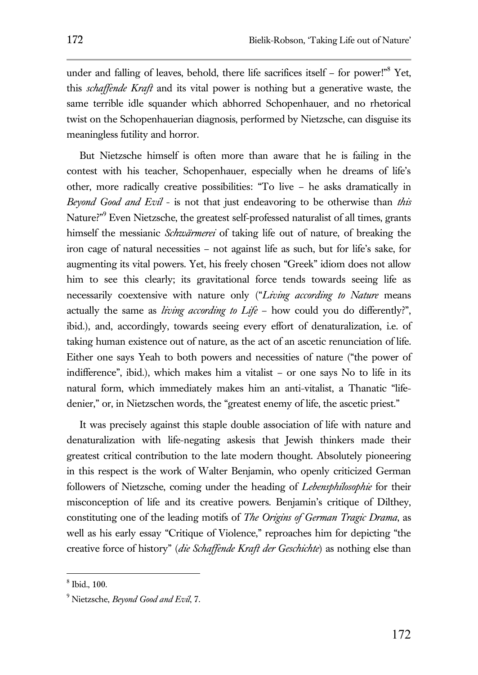under and falling of leaves, behold, there life sacrifices itself – for power!"<sup>8</sup> Yet, this *schaffende Kraft* and its vital power is nothing but a generative waste, the same terrible idle squander which abhorred Schopenhauer, and no rhetorical twist on the Schopenhauerian diagnosis, performed by Nietzsche, can disguise its meaningless futility and horror.

But Nietzsche himself is often more than aware that he is failing in the contest with his teacher, Schopenhauer, especially when he dreams of life's other, more radically creative possibilities: "To live – he asks dramatically in *Beyond Good and Evil* - is not that just endeavoring to be otherwise than *this* Nature?"<sup>9</sup> Even Nietzsche, the greatest self-professed naturalist of all times, grants himself the messianic *Schwärmerei* of taking life out of nature, of breaking the iron cage of natural necessities – not against life as such, but for life's sake, for augmenting its vital powers. Yet, his freely chosen "Greek" idiom does not allow him to see this clearly; its gravitational force tends towards seeing life as necessarily coextensive with nature only ("*Living according to Nature* means actually the same as *living according to Life* – how could you do differently?", ibid.), and, accordingly, towards seeing every effort of denaturalization, i.e. of taking human existence out of nature, as the act of an ascetic renunciation of life. Either one says Yeah to both powers and necessities of nature ("the power of indifference", ibid.), which makes him a vitalist – or one says No to life in its natural form, which immediately makes him an anti-vitalist, a Thanatic "lifedenier," or, in Nietzschen words, the "greatest enemy of life, the ascetic priest."

It was precisely against this staple double association of life with nature and denaturalization with life-negating askesis that Jewish thinkers made their greatest critical contribution to the late modern thought. Absolutely pioneering in this respect is the work of Walter Benjamin, who openly criticized German followers of Nietzsche, coming under the heading of *Lebensphilosophie* for their misconception of life and its creative powers. Benjamin's critique of Dilthey, constituting one of the leading motifs of *The Origins of German Tragic Drama*, as well as his early essay "Critique of Violence," reproaches him for depicting "the creative force of history" (*die Schaffende Kraft der Geschichte*) as nothing else than

<sup>8</sup> Ibid., 100.

<sup>9</sup> Nietzsche, *Beyond Good and Evil*, 7.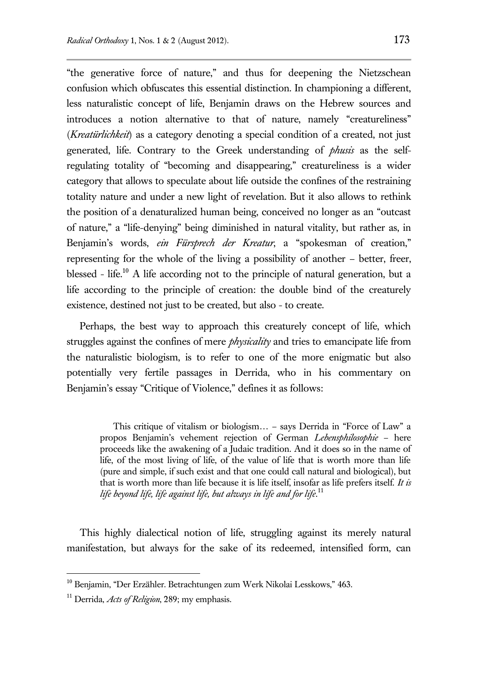"the generative force of nature," and thus for deepening the Nietzschean confusion which obfuscates this essential distinction. In championing a different, less naturalistic concept of life, Benjamin draws on the Hebrew sources and introduces a notion alternative to that of nature, namely "creatureliness" (*Kreatürlichkeit*) as a category denoting a special condition of a created, not just generated, life. Contrary to the Greek understanding of *phusis* as the selfregulating totality of "becoming and disappearing," creatureliness is a wider category that allows to speculate about life outside the confines of the restraining totality nature and under a new light of revelation. But it also allows to rethink the position of a denaturalized human being, conceived no longer as an "outcast of nature," a "life-denying" being diminished in natural vitality, but rather as, in Benjamin's words, *ein Fürsprech der Kreatur*, a "spokesman of creation," representing for the whole of the living a possibility of another – better, freer, blessed - life.<sup>10</sup> A life according not to the principle of natural generation, but a life according to the principle of creation: the double bind of the creaturely existence, destined not just to be created, but also - to create.

Perhaps, the best way to approach this creaturely concept of life, which struggles against the confines of mere *physicality* and tries to emancipate life from the naturalistic biologism, is to refer to one of the more enigmatic but also potentially very fertile passages in Derrida, who in his commentary on Benjamin's essay "Critique of Violence," defines it as follows:

This critique of vitalism or biologism… – says Derrida in "Force of Law" a propos Benjamin's vehement rejection of German *Lebensphilosophie* – here proceeds like the awakening of a Judaic tradition. And it does so in the name of life, of the most living of life, of the value of life that is worth more than life (pure and simple, if such exist and that one could call natural and biological), but that is worth more than life because it is life itself, insofar as life prefers itself. *It is*  life beyond life, life against life, but always in life and for life.<sup>11</sup>

This highly dialectical notion of life, struggling against its merely natural manifestation, but always for the sake of its redeemed, intensified form, can

<sup>&</sup>lt;sup>10</sup> Benjamin, "Der Erzähler. Betrachtungen zum Werk Nikolai Lesskows," 463.

<sup>11</sup> Derrida, *Acts of Religion*, 289; my emphasis.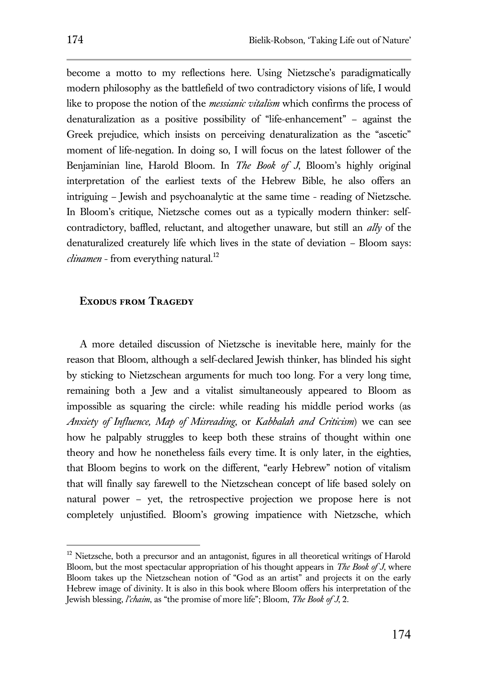become a motto to my reflections here. Using Nietzsche's paradigmatically modern philosophy as the battlefield of two contradictory visions of life, I would like to propose the notion of the *messianic vitalism* which confirms the process of denaturalization as a positive possibility of "life-enhancement" – against the Greek prejudice, which insists on perceiving denaturalization as the "ascetic" moment of life-negation. In doing so, I will focus on the latest follower of the Benjaminian line, Harold Bloom. In *The Book of J*, Bloom's highly original interpretation of the earliest texts of the Hebrew Bible, he also offers an intriguing – Jewish and psychoanalytic at the same time - reading of Nietzsche. In Bloom's critique, Nietzsche comes out as a typically modern thinker: selfcontradictory, baffled, reluctant, and altogether unaware, but still an *ally* of the denaturalized creaturely life which lives in the state of deviation – Bloom says: *clinamen* - from everything natural.<sup>12</sup>

# **Exodus from Tragedy**

A more detailed discussion of Nietzsche is inevitable here, mainly for the reason that Bloom, although a self-declared Jewish thinker, has blinded his sight by sticking to Nietzschean arguments for much too long. For a very long time, remaining both a Jew and a vitalist simultaneously appeared to Bloom as impossible as squaring the circle: while reading his middle period works (as *Anxiety of Influence, Map of Misreading*, or *Kabbalah and Criticism*) we can see how he palpably struggles to keep both these strains of thought within one theory and how he nonetheless fails every time. It is only later, in the eighties, that Bloom begins to work on the different, "early Hebrew" notion of vitalism that will finally say farewell to the Nietzschean concept of life based solely on natural power – yet, the retrospective projection we propose here is not completely unjustified. Bloom's growing impatience with Nietzsche, which

<sup>&</sup>lt;sup>12</sup> Nietzsche, both a precursor and an antagonist, figures in all theoretical writings of Harold Bloom, but the most spectacular appropriation of his thought appears in *The Book of J*, where Bloom takes up the Nietzschean notion of "God as an artist" and projects it on the early Hebrew image of divinity. It is also in this book where Bloom offers his interpretation of the Jewish blessing, *l'chaim*, as "the promise of more life"; Bloom, *The Book of J*, 2.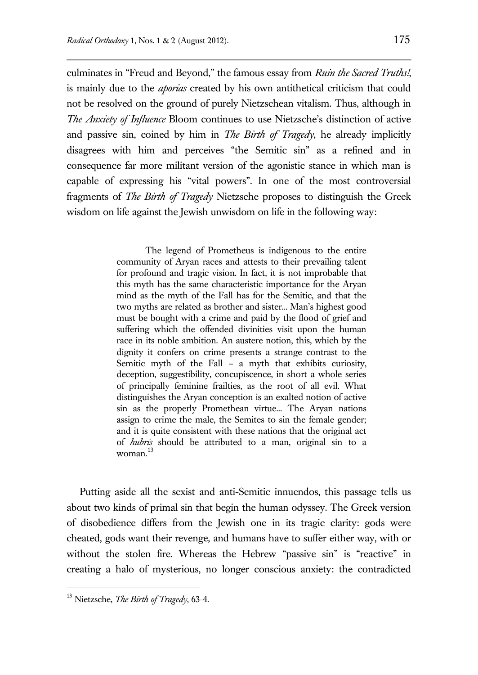culminates in "Freud and Beyond," the famous essay from *Ruin the Sacred Truths!*, is mainly due to the *aporias* created by his own antithetical criticism that could not be resolved on the ground of purely Nietzschean vitalism. Thus, although in *The Anxiety of Influence* Bloom continues to use Nietzsche's distinction of active and passive sin, coined by him in *The Birth of Tragedy*, he already implicitly disagrees with him and perceives "the Semitic sin" as a refined and in consequence far more militant version of the agonistic stance in which man is capable of expressing his "vital powers". In one of the most controversial fragments of *The Birth of Tragedy* Nietzsche proposes to distinguish the Greek wisdom on life against the Jewish unwisdom on life in the following way:

> The legend of Prometheus is indigenous to the entire community of Aryan races and attests to their prevailing talent for profound and tragic vision. In fact, it is not improbable that this myth has the same characteristic importance for the Aryan mind as the myth of the Fall has for the Semitic, and that the two myths are related as brother and sister... Man's highest good must be bought with a crime and paid by the flood of grief and suffering which the offended divinities visit upon the human race in its noble ambition. An austere notion, this, which by the dignity it confers on crime presents a strange contrast to the Semitic myth of the Fall – a myth that exhibits curiosity, deception, suggestibility, concupiscence, in short a whole series of principally feminine frailties, as the root of all evil. What distinguishes the Aryan conception is an exalted notion of active sin as the properly Promethean virtue... The Aryan nations assign to crime the male, the Semites to sin the female gender; and it is quite consistent with these nations that the original act of *hubris* should be attributed to a man, original sin to a woman. 13

Putting aside all the sexist and anti-Semitic innuendos, this passage tells us about two kinds of primal sin that begin the human odyssey. The Greek version of disobedience differs from the Jewish one in its tragic clarity: gods were cheated, gods want their revenge, and humans have to suffer either way, with or without the stolen fire. Whereas the Hebrew "passive sin" is "reactive" in creating a halo of mysterious, no longer conscious anxiety: the contradicted

<sup>13</sup> Nietzsche, *The Birth of Tragedy*, 63-4.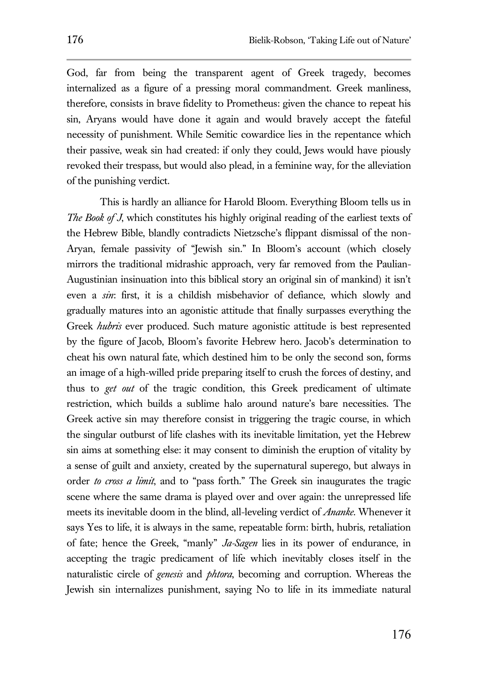God, far from being the transparent agent of Greek tragedy, becomes internalized as a figure of a pressing moral commandment. Greek manliness, therefore, consists in brave fidelity to Prometheus: given the chance to repeat his sin, Aryans would have done it again and would bravely accept the fateful necessity of punishment. While Semitic cowardice lies in the repentance which their passive, weak sin had created: if only they could, Jews would have piously revoked their trespass, but would also plead, in a feminine way, for the alleviation of the punishing verdict.

This is hardly an alliance for Harold Bloom. Everything Bloom tells us in *The Book of J*, which constitutes his highly original reading of the earliest texts of the Hebrew Bible, blandly contradicts Nietzsche's flippant dismissal of the non-Aryan, female passivity of "Jewish sin." In Bloom's account (which closely mirrors the traditional midrashic approach, very far removed from the Paulian-Augustinian insinuation into this biblical story an original sin of mankind) it isn't even a *sin*: first, it is a childish misbehavior of defiance, which slowly and gradually matures into an agonistic attitude that finally surpasses everything the Greek *hubris* ever produced. Such mature agonistic attitude is best represented by the figure of Jacob, Bloom's favorite Hebrew hero. Jacob's determination to cheat his own natural fate, which destined him to be only the second son, forms an image of a high-willed pride preparing itself to crush the forces of destiny, and thus to *get out* of the tragic condition, this Greek predicament of ultimate restriction, which builds a sublime halo around nature's bare necessities. The Greek active sin may therefore consist in triggering the tragic course, in which the singular outburst of life clashes with its inevitable limitation, yet the Hebrew sin aims at something else: it may consent to diminish the eruption of vitality by a sense of guilt and anxiety, created by the supernatural superego, but always in order *to cross a limit*, and to "pass forth." The Greek sin inaugurates the tragic scene where the same drama is played over and over again: the unrepressed life meets its inevitable doom in the blind, all-leveling verdict of *Ananke*. Whenever it says Yes to life, it is always in the same, repeatable form: birth, hubris, retaliation of fate; hence the Greek, "manly" *Ja-Sagen* lies in its power of endurance, in accepting the tragic predicament of life which inevitably closes itself in the naturalistic circle of *genesis* and *phtora*, becoming and corruption. Whereas the Jewish sin internalizes punishment, saying No to life in its immediate natural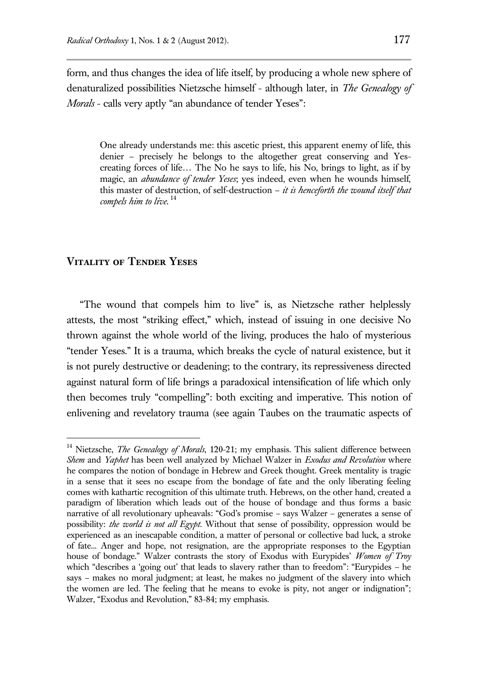form, and thus changes the idea of life itself, by producing a whole new sphere of denaturalized possibilities Nietzsche himself - although later, in *The Genealogy of Morals* - calls very aptly "an abundance of tender Yeses":

One already understands me: this ascetic priest, this apparent enemy of life, this denier – precisely he belongs to the altogether great conserving and Yescreating forces of life… The No he says to life, his No, brings to light, as if by magic, an *abundance of tender Yeses*; yes indeed, even when he wounds himself, this master of destruction, of self-destruction – *it is henceforth the wound itself that compels him to live*. 14

### **Vitality of Tender Yeses**

l

"The wound that compels him to live" is, as Nietzsche rather helplessly attests, the most "striking effect," which, instead of issuing in one decisive No thrown against the whole world of the living, produces the halo of mysterious "tender Yeses." It is a trauma, which breaks the cycle of natural existence, but it is not purely destructive or deadening; to the contrary, its repressiveness directed against natural form of life brings a paradoxical intensification of life which only then becomes truly "compelling": both exciting and imperative. This notion of enlivening and revelatory trauma (see again Taubes on the traumatic aspects of

<sup>&</sup>lt;sup>14</sup> Nietzsche, *The Genealogy of Morals*, 120-21; my emphasis. This salient difference between *Shem* and *Yaphet* has been well analyzed by Michael Walzer in *Exodus and Revolution* where he compares the notion of bondage in Hebrew and Greek thought. Greek mentality is tragic in a sense that it sees no escape from the bondage of fate and the only liberating feeling comes with kathartic recognition of this ultimate truth. Hebrews, on the other hand, created a paradigm of liberation which leads out of the house of bondage and thus forms a basic narrative of all revolutionary upheavals: "God's promise – says Walzer – generates a sense of possibility: *the world is not all Egypt*. Without that sense of possibility, oppression would be experienced as an inescapable condition, a matter of personal or collective bad luck, a stroke of fate... Anger and hope, not resignation, are the appropriate responses to the Egyptian house of bondage." Walzer contrasts the story of Exodus with Eurypides' *Women of Troy* which "describes a 'going out' that leads to slavery rather than to freedom": "Eurypides – he says – makes no moral judgment; at least, he makes no judgment of the slavery into which the women are led. The feeling that he means to evoke is pity, not anger or indignation"; Walzer, "Exodus and Revolution," 83-84; my emphasis.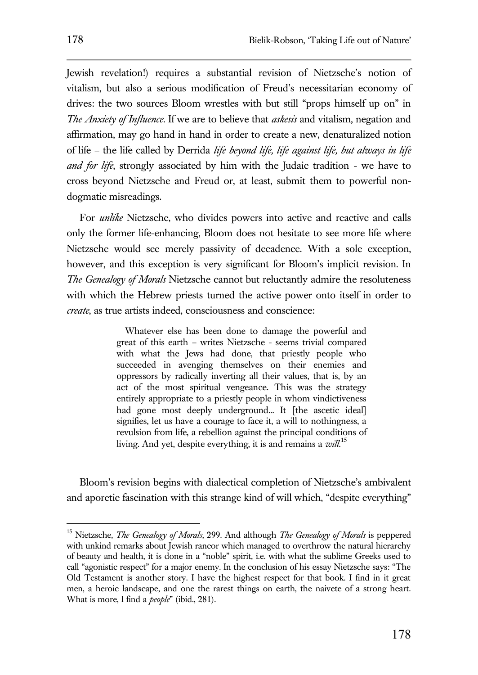Jewish revelation!) requires a substantial revision of Nietzsche's notion of vitalism, but also a serious modification of Freud's necessitarian economy of drives: the two sources Bloom wrestles with but still "props himself up on" in *The Anxiety of Influence*. If we are to believe that *askesis* and vitalism, negation and affirmation, may go hand in hand in order to create a new, denaturalized notion of life – the life called by Derrida *life beyond life, life against life, but always in life and for life*, strongly associated by him with the Judaic tradition - we have to cross beyond Nietzsche and Freud or, at least, submit them to powerful nondogmatic misreadings.

For *unlike* Nietzsche, who divides powers into active and reactive and calls only the former life-enhancing, Bloom does not hesitate to see more life where Nietzsche would see merely passivity of decadence. With a sole exception, however, and this exception is very significant for Bloom's implicit revision. In *The Genealogy of Morals* Nietzsche cannot but reluctantly admire the resoluteness with which the Hebrew priests turned the active power onto itself in order to *create*, as true artists indeed, consciousness and conscience:

> Whatever else has been done to damage the powerful and great of this earth – writes Nietzsche - seems trivial compared with what the Jews had done, that priestly people who succeeded in avenging themselves on their enemies and oppressors by radically inverting all their values, that is, by an act of the most spiritual vengeance. This was the strategy entirely appropriate to a priestly people in whom vindictiveness had gone most deeply underground... It [the ascetic ideal] signifies, let us have a courage to face it, a will to nothingness, a revulsion from life, a rebellion against the principal conditions of living. And yet, despite everything, it is and remains a *will*. 15

Bloom's revision begins with dialectical completion of Nietzsche's ambivalent and aporetic fascination with this strange kind of will which, "despite everything"

<sup>15</sup> Nietzsche, *The Genealogy of Morals*, 299. And although *The Genealogy of Morals* is peppered with unkind remarks about Jewish rancor which managed to overthrow the natural hierarchy of beauty and health, it is done in a "noble" spirit, i.e. with what the sublime Greeks used to call "agonistic respect" for a major enemy. In the conclusion of his essay Nietzsche says: "The Old Testament is another story. I have the highest respect for that book. I find in it great men, a heroic landscape, and one the rarest things on earth, the naivete of a strong heart. What is more, I find a *people*" (ibid., 281).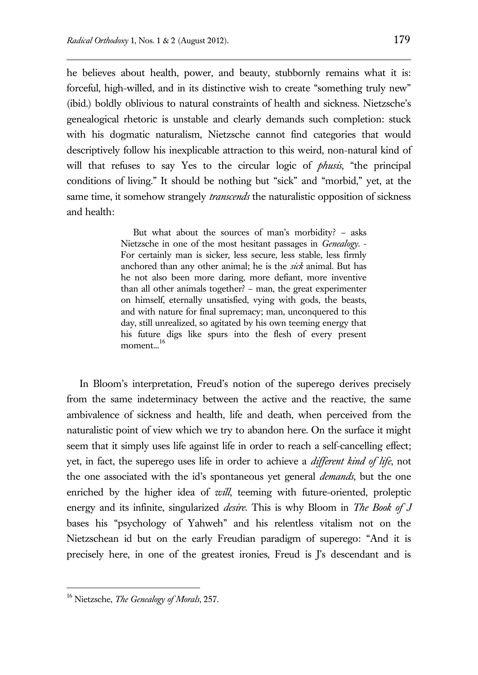he believes about health, power, and beauty, stubbornly remains what it is: forceful, high-willed, and in its distinctive wish to create "something truly new" (ibid.) boldly oblivious to natural constraints of health and sickness. Nietzsche's genealogical rhetoric is unstable and clearly demands such completion: stuck with his dogmatic naturalism, Nietzsche cannot find categories that would descriptively follow his inexplicable attraction to this weird, non-natural kind of will that refuses to say Yes to the circular logic of *phusis*, "the principal conditions of living." It should be nothing but "sick" and "morbid," yet, at the same time, it somehow strangely *transcends* the naturalistic opposition of sickness and health:

> But what about the sources of man's morbidity? – asks Nietzsche in one of the most hesitant passages in *Genealogy*. - For certainly man is sicker, less secure, less stable, less firmly anchored than any other animal; he is the *sick* animal. But has he not also been more daring, more defiant, more inventive than all other animals together? – man, the great experimenter on himself, eternally unsatisfied, vying with gods, the beasts, and with nature for final supremacy; man, unconquered to this day, still unrealized, so agitated by his own teeming energy that his future digs like spurs into the flesh of every present moment. $16$

In Bloom's interpretation, Freud's notion of the superego derives precisely from the same indeterminacy between the active and the reactive, the same ambivalence of sickness and health, life and death, when perceived from the naturalistic point of view which we try to abandon here. On the surface it might seem that it simply uses life against life in order to reach a self-cancelling effect; yet, in fact, the superego uses life in order to achieve a *different kind of life*, not the one associated with the id's spontaneous yet general *demands*, but the one enriched by the higher idea of *will*, teeming with future-oriented, proleptic energy and its infinite, singularized *desire*. This is why Bloom in *The Book of J* bases his "psychology of Yahweh" and his relentless vitalism not on the Nietzschean id but on the early Freudian paradigm of superego: "And it is precisely here, in one of the greatest ironies, Freud is J's descendant and is

<sup>16</sup> Nietzsche, *The Genealogy of Morals*, 257.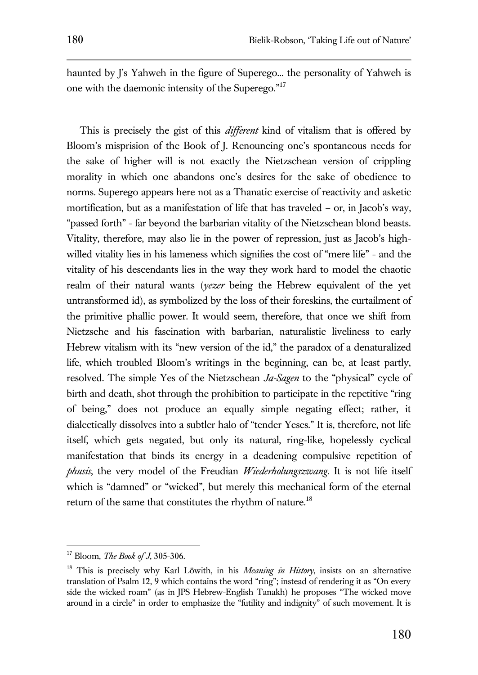haunted by I's Yahweh in the figure of Superego... the personality of Yahweh is one with the daemonic intensity of the Superego."<sup>17</sup>

This is precisely the gist of this *different* kind of vitalism that is offered by Bloom's misprision of the Book of J. Renouncing one's spontaneous needs for the sake of higher will is not exactly the Nietzschean version of crippling morality in which one abandons one's desires for the sake of obedience to norms. Superego appears here not as a Thanatic exercise of reactivity and asketic mortification, but as a manifestation of life that has traveled – or, in Jacob's way, "passed forth" - far beyond the barbarian vitality of the Nietzschean blond beasts. Vitality, therefore, may also lie in the power of repression, just as Jacob's highwilled vitality lies in his lameness which signifies the cost of "mere life" - and the vitality of his descendants lies in the way they work hard to model the chaotic realm of their natural wants (*yezer* being the Hebrew equivalent of the yet untransformed id), as symbolized by the loss of their foreskins, the curtailment of the primitive phallic power. It would seem, therefore, that once we shift from Nietzsche and his fascination with barbarian, naturalistic liveliness to early Hebrew vitalism with its "new version of the id," the paradox of a denaturalized life, which troubled Bloom's writings in the beginning, can be, at least partly, resolved. The simple Yes of the Nietzschean *Ja-Sagen* to the "physical" cycle of birth and death, shot through the prohibition to participate in the repetitive "ring of being," does not produce an equally simple negating effect; rather, it dialectically dissolves into a subtler halo of "tender Yeses." It is, therefore, not life itself, which gets negated, but only its natural, ring-like, hopelessly cyclical manifestation that binds its energy in a deadening compulsive repetition of *phusis*, the very model of the Freudian *Wiederholungszwang*. It is not life itself which is "damned" or "wicked", but merely this mechanical form of the eternal return of the same that constitutes the rhythm of nature.<sup>18</sup>

<sup>17</sup> Bloom, *The Book of J*, 305-306.

<sup>18</sup> This is precisely why Karl Löwith, in his *Meaning in History*, insists on an alternative translation of Psalm 12, 9 which contains the word "ring"; instead of rendering it as "On every side the wicked roam" (as in JPS Hebrew-English Tanakh) he proposes "The wicked move around in a circle" in order to emphasize the "futility and indignity" of such movement. It is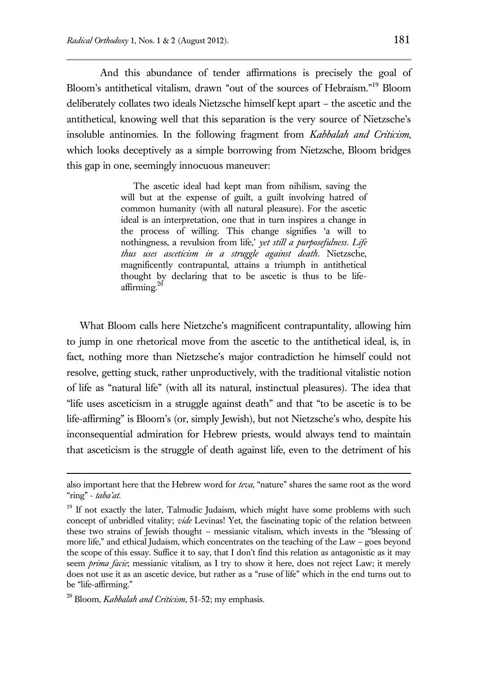And this abundance of tender affirmations is precisely the goal of Bloom's antithetical vitalism, drawn "out of the sources of Hebraism."<sup>19</sup> Bloom deliberately collates two ideals Nietzsche himself kept apart – the ascetic and the antithetical, knowing well that this separation is the very source of Nietzsche's insoluble antinomies. In the following fragment from *Kabbalah and Criticism*, which looks deceptively as a simple borrowing from Nietzsche, Bloom bridges this gap in one, seemingly innocuous maneuver:

> The ascetic ideal had kept man from nihilism, saving the will but at the expense of guilt, a guilt involving hatred of common humanity (with all natural pleasure). For the ascetic ideal is an interpretation, one that in turn inspires a change in the process of willing. This change signifies 'a will to nothingness, a revulsion from life,' *yet still a purposefulness*. *Life thus uses asceticism in a struggle against death*. Nietzsche, magnificently contrapuntal, attains a triumph in antithetical thought by declaring that to be ascetic is thus to be lifeaffirming. $20$

What Bloom calls here Nietzche's magnificent contrapuntality, allowing him to jump in one rhetorical move from the ascetic to the antithetical ideal, is, in fact, nothing more than Nietzsche's major contradiction he himself could not resolve, getting stuck, rather unproductively, with the traditional vitalistic notion of life as "natural life" (with all its natural, instinctual pleasures). The idea that "life uses asceticism in a struggle against death" and that "to be ascetic is to be life-affirming" is Bloom's (or, simply Jewish), but not Nietzsche's who, despite his inconsequential admiration for Hebrew priests, would always tend to maintain that asceticism is the struggle of death against life, even to the detriment of his

also important here that the Hebrew word for *teva*, "nature" shares the same root as the word "ring" - *taba'at.*

<sup>&</sup>lt;sup>19</sup> If not exactly the later, Talmudic Judaism, which might have some problems with such concept of unbridled vitality; *vide* Levinas! Yet, the fascinating topic of the relation between these two strains of Jewish thought – messianic vitalism, which invests in the "blessing of more life," and ethical Judaism, which concentrates on the teaching of the Law – goes beyond the scope of this essay. Suffice it to say, that I don't find this relation as antagonistic as it may seem *prima facie*; messianic vitalism, as I try to show it here, does not reject Law; it merely does not use it as an ascetic device, but rather as a "ruse of life" which in the end turns out to be "life-affirming."

<sup>20</sup> Bloom, *Kabbalah and Criticism*, 51-52; my emphasis.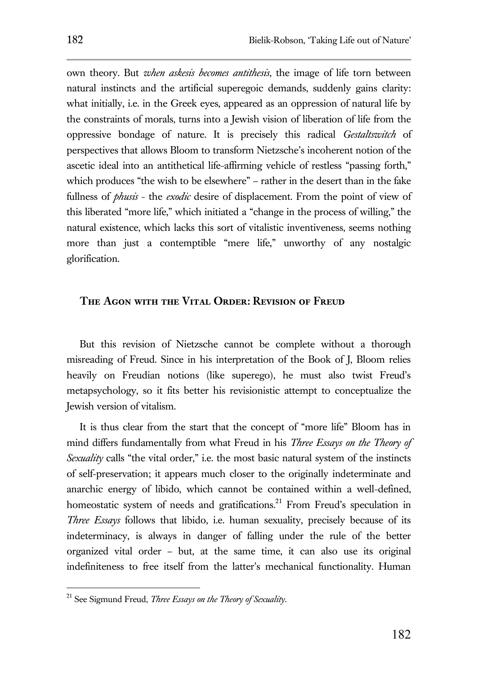own theory. But *when askesis becomes antithesis*, the image of life torn between natural instincts and the artificial superegoic demands, suddenly gains clarity: what initially, i.e. in the Greek eyes, appeared as an oppression of natural life by the constraints of morals, turns into a Jewish vision of liberation of life from the oppressive bondage of nature. It is precisely this radical *Gestaltswitch* of perspectives that allows Bloom to transform Nietzsche's incoherent notion of the ascetic ideal into an antithetical life-affirming vehicle of restless "passing forth," which produces "the wish to be elsewhere" – rather in the desert than in the fake fullness of *phusis* - the *exodic* desire of displacement. From the point of view of this liberated "more life," which initiated a "change in the process of willing," the natural existence, which lacks this sort of vitalistic inventiveness, seems nothing more than just a contemptible "mere life," unworthy of any nostalgic glorification.

## **The Agon with the Vital Order: Revision of Freud**

But this revision of Nietzsche cannot be complete without a thorough misreading of Freud. Since in his interpretation of the Book of J, Bloom relies heavily on Freudian notions (like superego), he must also twist Freud's metapsychology, so it fits better his revisionistic attempt to conceptualize the Jewish version of vitalism.

It is thus clear from the start that the concept of "more life" Bloom has in mind differs fundamentally from what Freud in his *Three Essays on the Theory of Sexuality* calls "the vital order," i.e. the most basic natural system of the instincts of self-preservation; it appears much closer to the originally indeterminate and anarchic energy of libido, which cannot be contained within a well-defined, homeostatic system of needs and gratifications.<sup>21</sup> From Freud's speculation in *Three Essays* follows that libido, i.e. human sexuality, precisely because of its indeterminacy, is always in danger of falling under the rule of the better organized vital order – but, at the same time, it can also use its original indefiniteness to free itself from the latter's mechanical functionality. Human

<sup>21</sup> See Sigmund Freud, *Three Essays on the Theory of Sexuality*.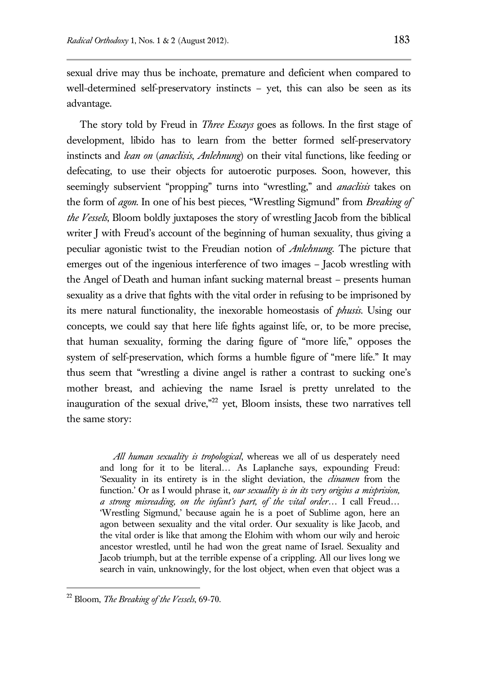sexual drive may thus be inchoate, premature and deficient when compared to well-determined self-preservatory instincts – yet, this can also be seen as its advantage.

The story told by Freud in *Three Essays* goes as follows. In the first stage of development, libido has to learn from the better formed self-preservatory instincts and *lean on* (*anaclisis*, *Anlehnung*) on their vital functions, like feeding or defecating, to use their objects for autoerotic purposes. Soon, however, this seemingly subservient "propping" turns into "wrestling," and *anaclisis* takes on the form of *agon*. In one of his best pieces, "Wrestling Sigmund" from *Breaking of the Vessels*, Bloom boldly juxtaposes the story of wrestling Jacob from the biblical writer J with Freud's account of the beginning of human sexuality, thus giving a peculiar agonistic twist to the Freudian notion of *Anlehnung*. The picture that emerges out of the ingenious interference of two images – Jacob wrestling with the Angel of Death and human infant sucking maternal breast – presents human sexuality as a drive that fights with the vital order in refusing to be imprisoned by its mere natural functionality, the inexorable homeostasis of *phusis*. Using our concepts, we could say that here life fights against life, or, to be more precise, that human sexuality, forming the daring figure of "more life," opposes the system of self-preservation, which forms a humble figure of "mere life." It may thus seem that "wrestling a divine angel is rather a contrast to sucking one's mother breast, and achieving the name Israel is pretty unrelated to the inauguration of the sexual drive, $n^2$  yet, Bloom insists, these two narratives tell the same story:

*All human sexuality is tropological*, whereas we all of us desperately need and long for it to be literal… As Laplanche says, expounding Freud: 'Sexuality in its entirety is in the slight deviation, the *clinamen* from the function.' Or as I would phrase it, *our sexuality is in its very origins a misprision, a strong misreading, on the infant's part, of the vital order*… I call Freud… 'Wrestling Sigmund,' because again he is a poet of Sublime agon, here an agon between sexuality and the vital order. Our sexuality is like Jacob, and the vital order is like that among the Elohim with whom our wily and heroic ancestor wrestled, until he had won the great name of Israel. Sexuality and Jacob triumph, but at the terrible expense of a crippling. All our lives long we search in vain, unknowingly, for the lost object, when even that object was a

<sup>22</sup> Bloom, *The Breaking of the Vessels*, 69-70.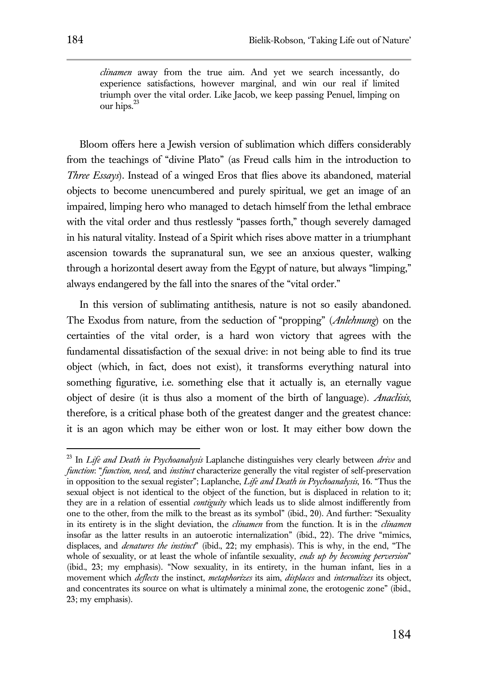*clinamen* away from the true aim. And yet we search incessantly, do experience satisfactions, however marginal, and win our real if limited triumph over the vital order. Like Jacob, we keep passing Penuel, limping on our hips. $^{23}$ 

Bloom offers here a Jewish version of sublimation which differs considerably from the teachings of "divine Plato" (as Freud calls him in the introduction to *Three Essays*). Instead of a winged Eros that flies above its abandoned, material objects to become unencumbered and purely spiritual, we get an image of an impaired, limping hero who managed to detach himself from the lethal embrace with the vital order and thus restlessly "passes forth," though severely damaged in his natural vitality. Instead of a Spirit which rises above matter in a triumphant ascension towards the supranatural sun, we see an anxious quester, walking through a horizontal desert away from the Egypt of nature, but always "limping," always endangered by the fall into the snares of the "vital order."

In this version of sublimating antithesis, nature is not so easily abandoned. The Exodus from nature, from the seduction of "propping" (*Anlehnung*) on the certainties of the vital order, is a hard won victory that agrees with the fundamental dissatisfaction of the sexual drive: in not being able to find its true object (which, in fact, does not exist), it transforms everything natural into something figurative, i.e. something else that it actually is, an eternally vague object of desire (it is thus also a moment of the birth of language). *Anaclisis*, therefore, is a critical phase both of the greatest danger and the greatest chance: it is an agon which may be either won or lost. It may either bow down the

<sup>23</sup> In *Life and Death in Psychoanalysis* Laplanche distinguishes very clearly between *drive* and *function*: "*function, need,* and *instinct* characterize generally the vital register of self-preservation in opposition to the sexual register"; Laplanche, *Life and Death in Psychoanalysis*, 16. "Thus the sexual object is not identical to the object of the function, but is displaced in relation to it; they are in a relation of essential *contiguity* which leads us to slide almost indifferently from one to the other, from the milk to the breast as its symbol" (ibid., 20). And further: "Sexuality in its entirety is in the slight deviation, the *clinamen* from the function. It is in the *clinamen* insofar as the latter results in an autoerotic internalization" (ibid., 22). The drive "mimics, displaces, and *denatures the instinct*" (ibid., 22; my emphasis). This is why, in the end, "The whole of sexuality, or at least the whole of infantile sexuality, *ends up by becoming perversion*" (ibid., 23; my emphasis). "Now sexuality, in its entirety, in the human infant, lies in a movement which *deflects* the instinct, *metaphorizes* its aim, *displaces* and *internalizes* its object, and concentrates its source on what is ultimately a minimal zone, the erotogenic zone" (ibid., 23; my emphasis).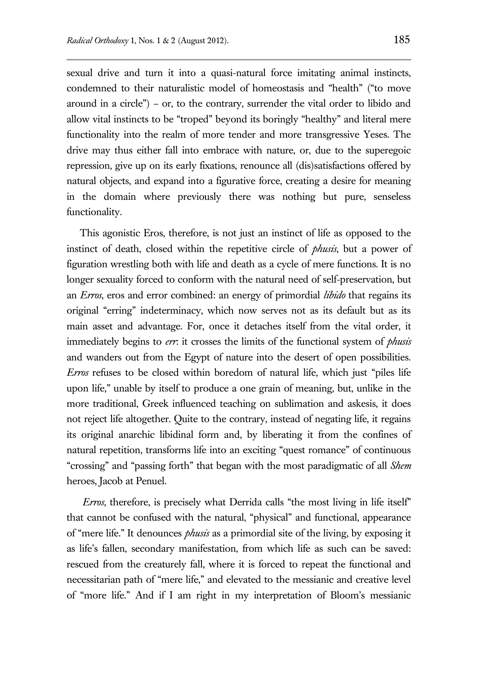sexual drive and turn it into a quasi-natural force imitating animal instincts, condemned to their naturalistic model of homeostasis and "health" ("to move around in a circle") – or, to the contrary, surrender the vital order to libido and allow vital instincts to be "troped" beyond its boringly "healthy" and literal mere functionality into the realm of more tender and more transgressive Yeses. The drive may thus either fall into embrace with nature, or, due to the superegoic repression, give up on its early fixations, renounce all (dis)satisfactions offered by natural objects, and expand into a figurative force, creating a desire for meaning in the domain where previously there was nothing but pure, senseless functionality.

This agonistic Eros, therefore, is not just an instinct of life as opposed to the instinct of death, closed within the repetitive circle of *phusis*, but a power of figuration wrestling both with life and death as a cycle of mere functions. It is no longer sexuality forced to conform with the natural need of self-preservation, but an *Erros*, eros and error combined: an energy of primordial *libido* that regains its original "erring" indeterminacy, which now serves not as its default but as its main asset and advantage. For, once it detaches itself from the vital order, it immediately begins to *err*: it crosses the limits of the functional system of *phusis* and wanders out from the Egypt of nature into the desert of open possibilities. *Erros* refuses to be closed within boredom of natural life, which just "piles life upon life," unable by itself to produce a one grain of meaning, but, unlike in the more traditional, Greek influenced teaching on sublimation and askesis, it does not reject life altogether. Quite to the contrary, instead of negating life, it regains its original anarchic libidinal form and, by liberating it from the confines of natural repetition, transforms life into an exciting "quest romance" of continuous "crossing" and "passing forth" that began with the most paradigmatic of all *Shem* heroes, Jacob at Penuel.

*Erros*, therefore, is precisely what Derrida calls "the most living in life itself" that cannot be confused with the natural, "physical" and functional, appearance of "mere life." It denounces *phusis* as a primordial site of the living, by exposing it as life's fallen, secondary manifestation, from which life as such can be saved: rescued from the creaturely fall, where it is forced to repeat the functional and necessitarian path of "mere life," and elevated to the messianic and creative level of "more life." And if I am right in my interpretation of Bloom's messianic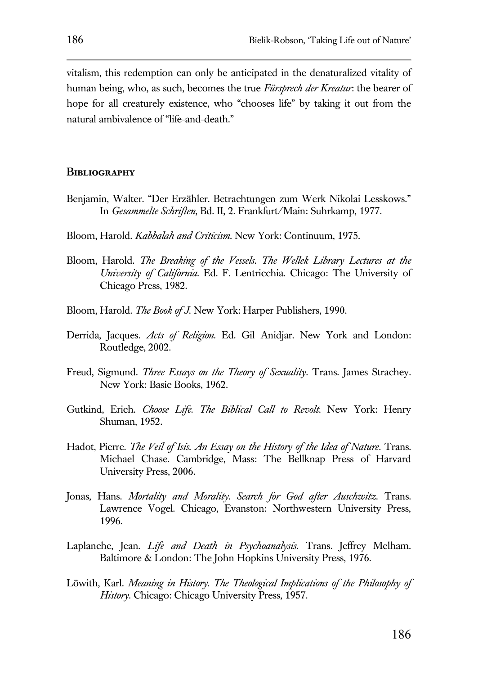vitalism, this redemption can only be anticipated in the denaturalized vitality of human being, who, as such, becomes the true *Fürsprech der Kreatur*: the bearer of hope for all creaturely existence, who "chooses life" by taking it out from the natural ambivalence of "life-and-death."

#### **Bibliography**

- Benjamin, Walter. "Der Erzähler. Betrachtungen zum Werk Nikolai Lesskows." In *Gesammelte Schriften*, Bd. II, 2. Frankfurt/Main: Suhrkamp, 1977.
- Bloom, Harold. *Kabbalah and Criticism*. New York: Continuum, 1975.
- Bloom, Harold. *The Breaking of the Vessels*. *The Wellek Library Lectures at the University of California*. Ed. F. Lentricchia. Chicago: The University of Chicago Press, 1982.
- Bloom, Harold. *The Book of J*. New York: Harper Publishers, 1990.
- Derrida, Jacques. *Acts of Religion*. Ed. Gil Anidjar. New York and London: Routledge, 2002.
- Freud, Sigmund. *Three Essays on the Theory of Sexuality*. Trans. James Strachey. New York: Basic Books, 1962.
- Gutkind, Erich. *Choose Life. The Biblical Call to Revolt*. New York: Henry Shuman, 1952.
- Hadot, Pierre. *The Veil of Isis. An Essay on the History of the Idea of Nature*. Trans. Michael Chase. Cambridge, Mass: The Bellknap Press of Harvard University Press, 2006.
- Jonas, Hans. *Mortality and Morality. Search for God after Auschwitz*. Trans. Lawrence Vogel. Chicago, Evanston: Northwestern University Press, 1996.
- Laplanche, Jean. *Life and Death in Psychoanalysis*. Trans. Jeffrey Melham. Baltimore & London: The John Hopkins University Press, 1976.
- Löwith, Karl. *Meaning in History. The Theological Implications of the Philosophy of History*. Chicago: Chicago University Press, 1957.